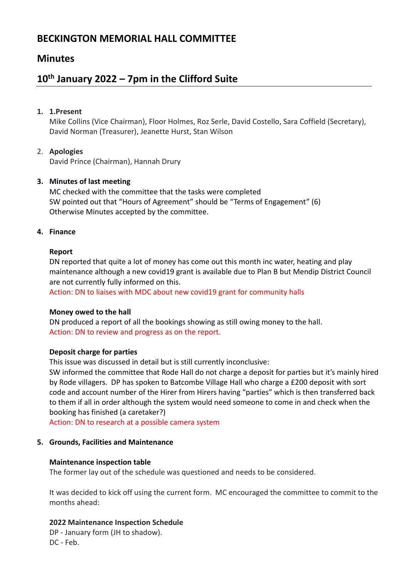# **BECKINGTON MEMORIAL HALL COMMITTEE**

## **Minutes**

# **10th January 2022 – 7pm in the Clifford Suite**

## **1. 1.Present**

Mike Collins (Vice Chairman), Floor Holmes, Roz Serle, David Costello, Sara Coffield (Secretary), David Norman (Treasurer), Jeanette Hurst, Stan Wilson

## 2. **Apologies**

David Prince (Chairman), Hannah Drury

## **3. Minutes of last meeting**

MC checked with the committee that the tasks were completed SW pointed out that "Hours of Agreement" should be "Terms of Engagement" (6) Otherwise Minutes accepted by the committee.

## **4. Finance**

## **Report**

DN reported that quite a lot of money has come out this month inc water, heating and play maintenance although a new covid19 grant is available due to Plan B but Mendip District Council are not currently fully informed on this.

Action: DN to liaises with MDC about new covid19 grant for community halls

## **Money owed to the hall**

DN produced a report of all the bookings showing as still owing money to the hall. Action: DN to review and progress as on the report.

## **Deposit charge for parties**

This issue was discussed in detail but is still currently inconclusive:

SW informed the committee that Rode Hall do not charge a deposit for parties but it's mainly hired by Rode villagers. DP has spoken to Batcombe Village Hall who charge a £200 deposit with sort code and account number of the Hirer from Hirers having "parties" which is then transferred back to them if all in order although the system would need someone to come in and check when the booking has finished (a caretaker?)

Action: DN to research at a possible camera system

## **5. Grounds, Facilities and Maintenance**

## **Maintenance inspection table**

The former lay out of the schedule was questioned and needs to be considered.

It was decided to kick off using the current form. MC encouraged the committee to commit to the months ahead:

## **2022 Maintenance Inspection Schedule**

DP - January form (JH to shadow). DC - Feb.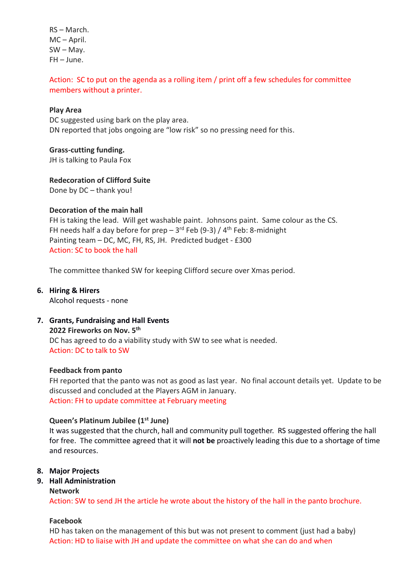RS – March. MC – April. SW – May. FH – June.

## Action: SC to put on the agenda as a rolling item / print off a few schedules for committee members without a printer.

#### **Play Area**

DC suggested using bark on the play area. DN reported that jobs ongoing are "low risk" so no pressing need for this.

#### **Grass-cutting funding.**

JH is talking to Paula Fox

**Redecoration of Clifford Suite**

Done by DC – thank you!

#### **Decoration of the main hall**

FH is taking the lead. Will get washable paint. Johnsons paint. Same colour as the CS. FH needs half a day before for prep  $-3<sup>rd</sup>$  Feb (9-3) / 4<sup>th</sup> Feb: 8-midnight Painting team – DC, MC, FH, RS, JH. Predicted budget - £300 Action: SC to book the hall

The committee thanked SW for keeping Clifford secure over Xmas period.

**6. Hiring & Hirers** Alcohol requests - none

## **7. Grants, Fundraising and Hall Events**

**2022 Fireworks on Nov. 5 th**

DC has agreed to do a viability study with SW to see what is needed. Action: DC to talk to SW

## **Feedback from panto**

FH reported that the panto was not as good as last year. No final account details yet. Update to be discussed and concluded at the Players AGM in January. Action: FH to update committee at February meeting

#### **Queen's Platinum Jubilee (1st June)**

It was suggested that the church, hall and community pull together. RS suggested offering the hall for free. The committee agreed that it will **not be** proactively leading this due to a shortage of time and resources.

#### **8. Major Projects**

#### **9. Hall Administration**

#### **Network**

Action: SW to send JH the article he wrote about the history of the hall in the panto brochure.

#### **Facebook**

HD has taken on the management of this but was not present to comment (just had a baby) Action: HD to liaise with JH and update the committee on what she can do and when